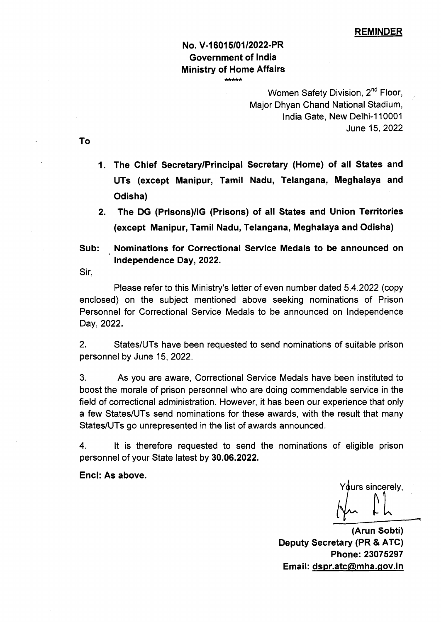## No. V-16015/01/2022-PR Government of India Ministry of Home Affairs *\* \* \* \* \**

Women Safety Division, 2<sup>nd</sup> Floor, Major Dhyan Chand National Stadium, India Gate, New Delhi-110001 June 15,2022

To

- 1. The Chief Secretary/Principal Secretary (Home) of all States and UTs (except Manipur, Tamil Nadu, Telangana, Meghalaya and Odisha)
- 2. The DG (Prisons)/IG (Prisons) of all States and Union Territories (except Manipur, Tamil Nadu, Telangana, Meghalaya and Odisha)
- Sub: Nominations for Correctional Service Medals to be announced on Independence Day, 2022.

Sir,

Please refer to this Ministry's letter of even number dated 5.4.2022 (copy enclosed) on the subject mentioned above seeking nominations of Prison Personnel for Correctional Service Medals to be announced on Independence Day, 2022.

2. States/UTs have been requested to send nominations of suitable prison personnel by June 15, 2022.

3. As you are aware, Correctional Service Medals have been instituted to boost the morale of prison personnel who are doing commendable service in the field of correctional administration. However, it has been our experience that only a few States/UTs send nominations for these awards, with the result that many States/UTs go unrepresented in the list of awards announced.

4. It is therefore requested to send the nominations of eligible prison personnel of your State latest by 30.06.2022.

### Enel: As above.

Yours sincerely. *t*

—i

(Arun Sobti) Deputy Secretary (PR & ATC) Phone:23075297 Email: [dspr.atc@mha.gov.in](mailto:dspr.atc@mha.gov.in)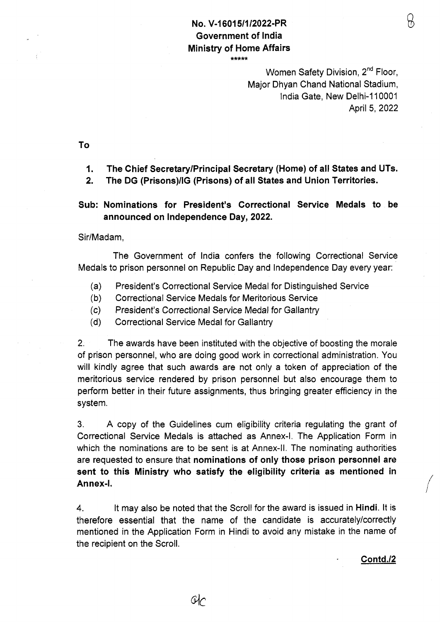# No. V-16015/1 /2022-PR Government of India Ministry of Home Affairs

 $***$ 

Women Safety Division, 2<sup>nd</sup> Floor, Major Dhyan Chand National Stadium, India Gate, New Delhi-110001 April 5, 2022 R

To

1. The Chief Secretary/Principal Secretary (Home) of all States and UTs.

2. The DG (Prisons)/IG (Prisons) of all States and Union Territories.

# Sub: Nominations for President's Correctional Service Medals to be announced on Independence Day, 2022.

Sir/Madam,

The Government of India confers the following Correctional Service Medals to prison personnel on Republic Day and Independence Day every year:

- (a) President's Correctional Service Medal for Distinguished Service
- (b) Correctional Service Medals for Meritorious Service
- (c) President's Correctional Service Medal *for* Gallantry
- (d) Correctional Service Medal for Gallantry

2. The awards have been instituted with the objective of boosting the morale of prison personnel, who are doing good work in correctional administration. You will kindly agree that such awards are not only a token of appreciation of the meritorious service rendered by prison personnel but also encourage them to perform better in their future assignments, thus bringing greater efficiency in the system.

3. A copy of the Guidelines cum eligibility criteria regulating the grant of Correctional Service Medals is attached as Annex-I. The Application Form in which the nominations are to be sent is at Annex-ll. The nominating authorities are requested to ensure that nominations of only those prison personnel are sent to this Ministry who satisfy the eligibility criteria as mentioned in Annex-I.

4. It may also be noted that the Scroll for the award is issued in Hindi. It is therefore essential that the name of the candidate is accurately/correctly mentioned in the Application Form in Hindi to avoid any mistake in the name of the recipient on the Scroll.

Contd./2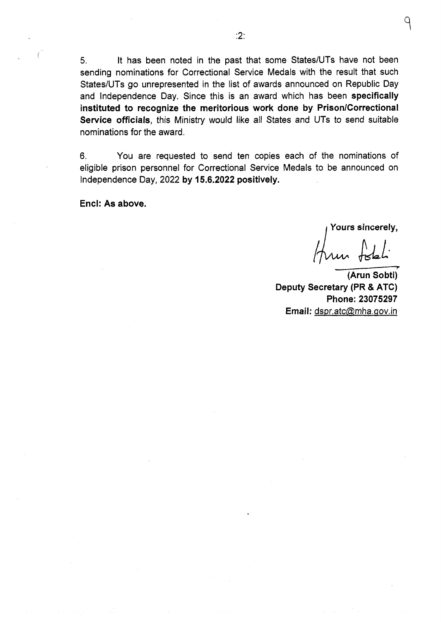5. It has been noted in the past that some States/UTs have not been sending nominations for Correctional Service Medals with the result that such States/UTs go unrepresented in the list of awards announced on Republic Day and Independence Day. Since this is an award which has been specifically instituted to recognize the meritorious work done by Prison/Correctional Service officials, this Ministry would like all States and UTs to send suitable nominations for the award.

6. You are requested to send ten copies each of the nominations of eligible prison personnel for Correctional Service Medals to be announced on Independence Day, 2022 by 15.6.2022 positively.

Enel: As above.

Yours sincerely,

un fotoli

(Arun Sobti) Deputy Secretary (PR & ATC) Phone: 23075297 Email: dspr.atc@mha.gov.in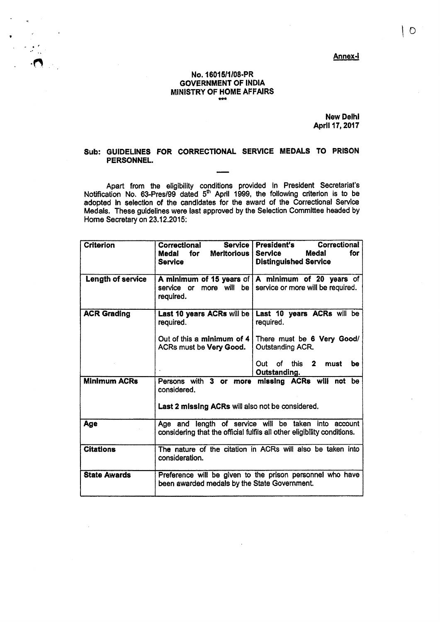Annex-1

## No. 16015/1/08-PR GOVERNMENT OF INDIA MINISTRY OF HOME AFFAIRS

 $\mathcal{F}(\mathcal{F}_{\mathcal{A}}^{(k)})$ 

 $\cdot$   $\cdot$   $\bullet$ 

New Delhi April 17,2017

#### Sub: GUIDELINES FOR CORRECTIONAL SERVICE MEDALS TO PRISON PERSONNEL.

Apart from the eligibility conditions provided in President Secretariat's Notification No. 63-Pres/99 dated 5<sup>th</sup> April 1999, the following criterion is to be adopted in selection of the candidates for the award of the Correctional Service Medals. These guidelines were last approved by the Selection Committee headed by Home Secretary on 23.12.2015:

| <b>Criterion</b>    | Service<br>Correctional<br>Meritorious<br>Medal<br>for<br>Service                                                               | <b>President's</b><br>Correctional<br><b>Medal</b><br>for<br><b>Service</b><br><b>Distinguished Service</b> |
|---------------------|---------------------------------------------------------------------------------------------------------------------------------|-------------------------------------------------------------------------------------------------------------|
| Length of service   | service or<br>required.                                                                                                         | A minimum of 15 years of $ A $ minimum of 20 years of<br>more will be service or more will be required.     |
| <b>ACR Grading</b>  | required.                                                                                                                       | Last 10 years ACRs will be   Last 10 years ACRs will be<br>required.                                        |
|                     | Out of this a minimum of $4$<br>ACRs must be <b>Very Good.</b>                                                                  | There must be 6 Very Good/<br><b>Outstanding ACR.</b>                                                       |
|                     |                                                                                                                                 | Out of this 2 must<br>be<br>Outstanding.                                                                    |
| <b>Minimum ACRs</b> | Persons with 3 or more<br>considered.<br><b>Last 2 missing ACRs will also not be considered.</b>                                | missing ACRs will not be                                                                                    |
| Age                 | Age and length of service will be taken into account<br>considering that the official fulfils all other eligibility conditions. |                                                                                                             |
| <b>Citations</b>    | consideration.                                                                                                                  | The nature of the citation in ACRs will also be taken into                                                  |
| <b>State Awards</b> | been awarded medals by the State Government.                                                                                    | Preference will be given to the prison personnel who have                                                   |

 $\circ$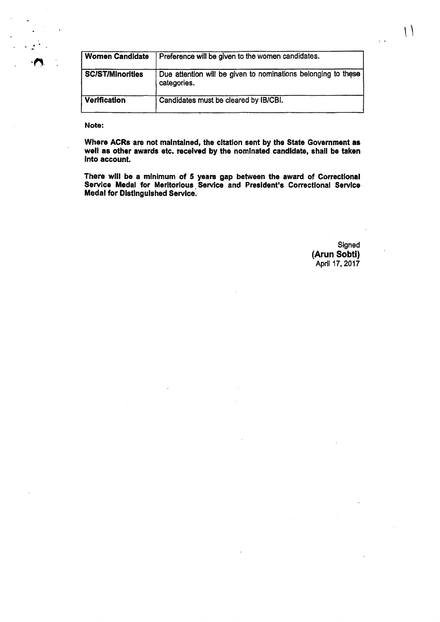| <b>Women Candidate</b> | Preference will be given to the women candidates.                            |  |
|------------------------|------------------------------------------------------------------------------|--|
| SC/ST/Minorities       | Due attention will be given to nominations belonging to these<br>categories. |  |
| <b>Verification</b>    | Candidates must be cleared by IB/CBI.                                        |  |

Note:

Where ACRs are not maintained, the citation sent by the State Government as well as other awards etc. received by the nominated candidate, shall be taken into account.

There will be a minimum of 5 years gap between the award of Correctional Service Medal for Meritorious Service and President's Correctional Service Medal for Distinguished Service.

> Signed (Arun Sobti) April 17,2017

 $\setminus$ 

 $\sqrt{3}$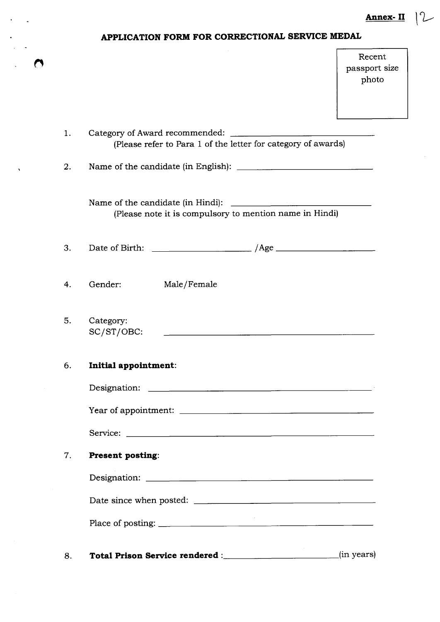**Annex- II** *\ rL ^*

|  | APPLICATION FORM FOR CORRECTIONAL SERVICE MEDAL |
|--|-------------------------------------------------|
|--|-------------------------------------------------|

l,

 $\bullet$ 

|    |                                                                                                                            | Recent<br>passport size<br>photo |
|----|----------------------------------------------------------------------------------------------------------------------------|----------------------------------|
|    |                                                                                                                            |                                  |
| 1. | Category of Award recommended:<br>(Please refer to Para 1 of the letter for category of awards)                            |                                  |
| 2. |                                                                                                                            |                                  |
|    | (Please note it is compulsory to mention name in Hindi)                                                                    |                                  |
| 3. |                                                                                                                            |                                  |
| 4. | Gender:<br>Male/Female                                                                                                     |                                  |
| 5. | Category:<br>SC/ST/OBC:<br>the contract of the contract of the contract of the contract of the contract of the contract of |                                  |
| 6. | Initial appointment:                                                                                                       |                                  |
|    |                                                                                                                            |                                  |
|    |                                                                                                                            |                                  |
|    |                                                                                                                            |                                  |
| 7. | <b>Present posting:</b>                                                                                                    |                                  |
|    |                                                                                                                            |                                  |
|    |                                                                                                                            |                                  |
|    |                                                                                                                            |                                  |
| 8. |                                                                                                                            |                                  |